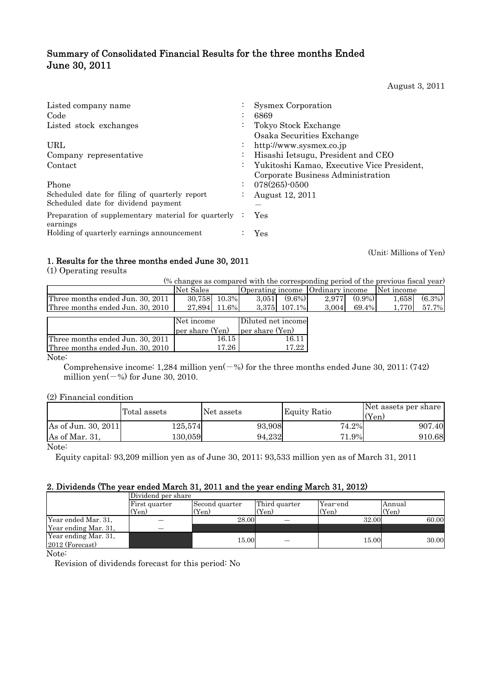# Summary of Consolidated Financial Results for the three months Ended June 30, 2011

August 3, 2011

| Listed company name<br>Code                                       |                      | <b>Sysmex Corporation</b><br>6869                 |
|-------------------------------------------------------------------|----------------------|---------------------------------------------------|
| Listed stock exchanges                                            | $\bullet$            | Tokyo Stock Exchange<br>Osaka Securities Exchange |
| URL                                                               | $\bullet$            | http://www.sysmex.co.jp                           |
| Company representative                                            | $\bullet$            | Hisashi Ietsugu, President and CEO                |
| Contact                                                           | $\ddot{\phantom{0}}$ | Yukitoshi Kamao, Executive Vice President,        |
|                                                                   |                      | Corporate Business Administration                 |
| Phone                                                             | $\ddot{\cdot}$       | $078(265)$ -0500                                  |
| Scheduled date for filing of quarterly report                     |                      | August 12, 2011                                   |
| Scheduled date for dividend payment                               |                      |                                                   |
| Preparation of supplementary material for quarterly :<br>earnings |                      | Yes                                               |
| Holding of quarterly earnings announcement                        |                      | Yes                                               |

(Unit: Millions of Yen)

# 1. Results for the three months ended June 30, 2011

(1) Operating results

| (% changes as compared with the corresponding period of the previous fiscal year) |                    |                                  |                    |                    |  |  |  |
|-----------------------------------------------------------------------------------|--------------------|----------------------------------|--------------------|--------------------|--|--|--|
|                                                                                   | Net Sales          | Operating income Ordinary income |                    | Net income         |  |  |  |
| Three months ended Jun. 30, 2011                                                  | 30.758<br>$10.3\%$ | $(9.6\%)$<br>3.0511              | $(0.9\%)$<br>2.977 | $(6.3\%)$<br>1.658 |  |  |  |
| Three months ended Jun. 30, 2010                                                  | 27.894 11.6%       | 3,375 107.1%                     | 69.4%<br>3,004     | 1.770<br>57.7%     |  |  |  |
|                                                                                   |                    |                                  |                    |                    |  |  |  |
|                                                                                   | Net income         | Diluted net income               |                    |                    |  |  |  |
|                                                                                   | per share (Yen)    | per share (Yen)                  |                    |                    |  |  |  |
| Three months ended Jun. 30, 2011                                                  | 16.15              | 16.11                            |                    |                    |  |  |  |

Three months ended Jun. 30, 2010

Note:

Comprehensive income: 1,284 million yen $(-%)$  for the three months ended June 30, 2011; (742) million yen $(-\%)$  for June 30, 2010.

17.26

17.22

## (2) Financial condition

|                     | Total assets | Net assets | <b>Equity Ratio</b> | Net assets per share<br>$Y_{en}$ |
|---------------------|--------------|------------|---------------------|----------------------------------|
| As of Jun. 30, 2011 | $125.574\,$  | 93,908     | 74.2%               | 907.40                           |
| As of Mar. 31,      | 130.059      | 94.232     | 71.9%               | 910.68                           |

Note:

Equity capital: 93,209 million yen as of June 30, 2011; 93,533 million yen as of March 31, 2011

## 2. Dividends (The year ended March 31, 2011 and the year ending March 31, 2012)

|                      | Dividend per share |                |               |          |        |  |  |  |
|----------------------|--------------------|----------------|---------------|----------|--------|--|--|--|
|                      | First quarter      | Second quarter | Third quarter | Year-end | Annual |  |  |  |
|                      | (Yen)              | (Yen)          | (Yen)         | (Yen)    | (Yen)  |  |  |  |
| Year ended Mar. 31,  |                    | 28.00          |               | 32.00    | 60.00  |  |  |  |
| Year ending Mar. 31, |                    |                |               |          |        |  |  |  |
| Year ending Mar. 31, |                    | 15.00          |               | 15.00    | 30.00  |  |  |  |
| 2012 (Forecast)      |                    |                |               |          |        |  |  |  |

Note:

Revision of dividends forecast for this period: No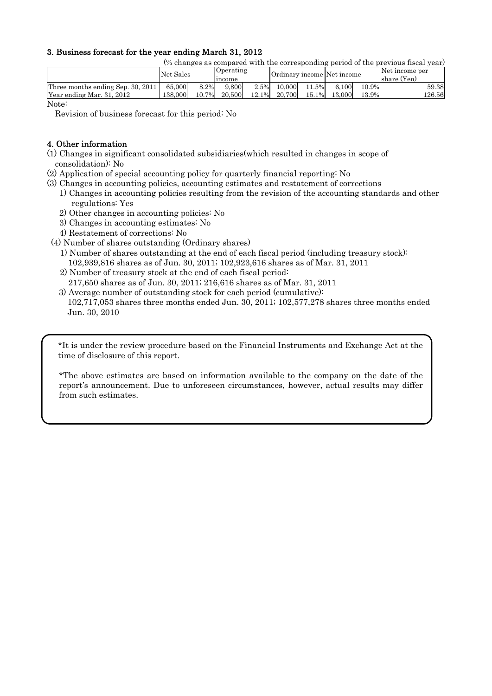## 3. Business forecast for the year ending March 31, 2012

(% changes as compared with the corresponding period of the previous fiscal year)

|                                   | Net Sales |          | <b>Operating</b><br>income |       | Ordinary income Net income |          |        |          | Net income per<br>share (Yen) |
|-----------------------------------|-----------|----------|----------------------------|-------|----------------------------|----------|--------|----------|-------------------------------|
| Three months ending Sep. 30, 2011 | 65,000    | 8.2%     | 9.800                      | 2.5%  | 10,000                     | 11.5%    | 6.100  | $10.9\%$ | 59.38                         |
| Year ending Mar. 31, 2012         | 138,000   | $10.7\%$ | 20,500                     | 12.1% | 20,700                     | $15.1\%$ | 13,000 | 13.9%    | 126.56                        |

Note:

Revision of business forecast for this period: No

## 4. Other information

- (1) Changes in significant consolidated subsidiaries(which resulted in changes in scope of consolidation): No
- (2) Application of special accounting policy for quarterly financial reporting: No
- (3) Changes in accounting policies, accounting estimates and restatement of corrections
	- 1) Changes in accounting policies resulting from the revision of the accounting standards and other regulations: Yes
	- 2) Other changes in accounting policies: No
	- 3) Changes in accounting estimates: No
	- 4) Restatement of corrections: No
- (4) Number of shares outstanding (Ordinary shares)
	- 1) Number of shares outstanding at the end of each fiscal period (including treasury stock): 102,939,816 shares as of Jun. 30, 2011; 102,923,616 shares as of Mar. 31, 2011
	- 2) Number of treasury stock at the end of each fiscal period:
	- 217,650 shares as of Jun. 30, 2011; 216,616 shares as of Mar. 31, 2011
	- 3) Average number of outstanding stock for each period (cumulative): 102,717,053 shares three months ended Jun. 30, 2011; 102,577,278 shares three months ended Jun. 30, 2010

\*It is under the review procedure based on the Financial Instruments and Exchange Act at the time of disclosure of this report.

\*The above estimates are based on information available to the company on the date of the report's announcement. Due to unforeseen circumstances, however, actual results may differ from such estimates.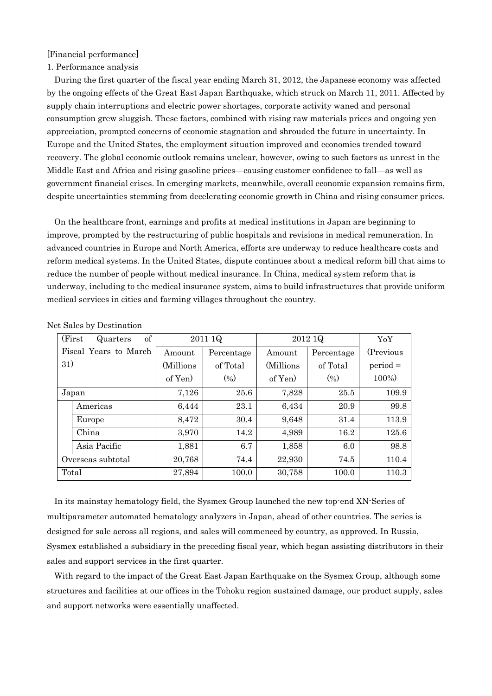## [Financial performance]

## 1. Performance analysis

During the first quarter of the fiscal year ending March 31, 2012, the Japanese economy was affected by the ongoing effects of the Great East Japan Earthquake, which struck on March 11, 2011. Affected by supply chain interruptions and electric power shortages, corporate activity waned and personal consumption grew sluggish. These factors, combined with rising raw materials prices and ongoing yen appreciation, prompted concerns of economic stagnation and shrouded the future in uncertainty. In Europe and the United States, the employment situation improved and economies trended toward recovery. The global economic outlook remains unclear, however, owing to such factors as unrest in the Middle East and Africa and rising gasoline prices—causing customer confidence to fall—as well as government financial crises. In emerging markets, meanwhile, overall economic expansion remains firm, despite uncertainties stemming from decelerating economic growth in China and rising consumer prices.

On the healthcare front, earnings and profits at medical institutions in Japan are beginning to improve, prompted by the restructuring of public hospitals and revisions in medical remuneration. In advanced countries in Europe and North America, efforts are underway to reduce healthcare costs and reform medical systems. In the United States, dispute continues about a medical reform bill that aims to reduce the number of people without medical insurance. In China, medical system reform that is underway, including to the medical insurance system, aims to build infrastructures that provide uniform medical services in cities and farming villages throughout the country.

| of<br>(First)<br>Quarters |           | 2011 1Q    |            | 2012 1Q    |            |  |  |
|---------------------------|-----------|------------|------------|------------|------------|--|--|
| Fiscal Years to March     | Amount    | Percentage | Amount     | Percentage | (Previous) |  |  |
| 31)                       | (Millions | of Total   | (Millions) | of Total   | $period =$ |  |  |
|                           | of Yen)   | (0/0)      | of Yen     | (0/0)      | 100%)      |  |  |
| Japan                     | 7,126     | 25.6       | 7,828      | 25.5       | 109.9      |  |  |
| Americas                  | 6,444     | 23.1       | 6,434      | 20.9       | 99.8       |  |  |
| Europe                    | 8,472     | 30.4       | 9,648      | 31.4       | 113.9      |  |  |
| China                     | 3,970     | 14.2       | 4,989      | 16.2       | 125.6      |  |  |
| Asia Pacific              | 1,881     | 6.7        | 1,858      | 6.0        | 98.8       |  |  |
| Overseas subtotal         | 20,768    | 74.4       | 22,930     | 74.5       | 110.4      |  |  |
| Total                     | 27,894    | 100.0      | 30,758     | 100.0      | 110.3      |  |  |

Net Sales by Destination

In its mainstay hematology field, the Sysmex Group launched the new top-end XN-Series of multiparameter automated hematology analyzers in Japan, ahead of other countries. The series is designed for sale across all regions, and sales will commenced by country, as approved. In Russia, Sysmex established a subsidiary in the preceding fiscal year, which began assisting distributors in their sales and support services in the first quarter.

With regard to the impact of the Great East Japan Earthquake on the Sysmex Group, although some structures and facilities at our offices in the Tohoku region sustained damage, our product supply, sales and support networks were essentially unaffected.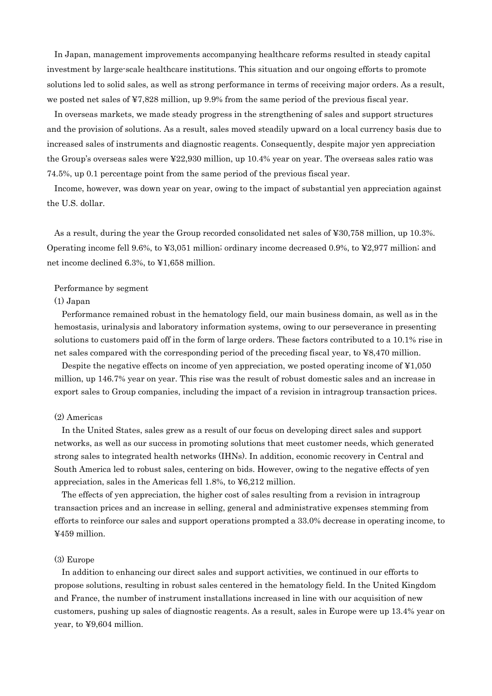In Japan, management improvements accompanying healthcare reforms resulted in steady capital investment by large-scale healthcare institutions. This situation and our ongoing efforts to promote solutions led to solid sales, as well as strong performance in terms of receiving major orders. As a result, we posted net sales of ¥7,828 million, up 9.9% from the same period of the previous fiscal year.

In overseas markets, we made steady progress in the strengthening of sales and support structures and the provision of solutions. As a result, sales moved steadily upward on a local currency basis due to increased sales of instruments and diagnostic reagents. Consequently, despite major yen appreciation the Group's overseas sales were ¥22,930 million, up 10.4% year on year. The overseas sales ratio was 74.5%, up 0.1 percentage point from the same period of the previous fiscal year.

Income, however, was down year on year, owing to the impact of substantial yen appreciation against the U.S. dollar.

As a result, during the year the Group recorded consolidated net sales of ¥30,758 million, up 10.3%. Operating income fell 9.6%, to ¥3,051 million; ordinary income decreased 0.9%, to ¥2,977 million; and net income declined 6.3%, to ¥1,658 million.

#### Performance by segment

#### (1) Japan

Performance remained robust in the hematology field, our main business domain, as well as in the hemostasis, urinalysis and laboratory information systems, owing to our perseverance in presenting solutions to customers paid off in the form of large orders. These factors contributed to a 10.1% rise in net sales compared with the corresponding period of the preceding fiscal year, to ¥8,470 million.

Despite the negative effects on income of yen appreciation, we posted operating income of ¥1,050 million, up 146.7% year on year. This rise was the result of robust domestic sales and an increase in export sales to Group companies, including the impact of a revision in intragroup transaction prices.

#### (2) Americas

In the United States, sales grew as a result of our focus on developing direct sales and support networks, as well as our success in promoting solutions that meet customer needs, which generated strong sales to integrated health networks (IHNs). In addition, economic recovery in Central and South America led to robust sales, centering on bids. However, owing to the negative effects of yen appreciation, sales in the Americas fell 1.8%, to ¥6,212 million.

The effects of yen appreciation, the higher cost of sales resulting from a revision in intragroup transaction prices and an increase in selling, general and administrative expenses stemming from efforts to reinforce our sales and support operations prompted a 33.0% decrease in operating income, to ¥459 million.

### (3) Europe

In addition to enhancing our direct sales and support activities, we continued in our efforts to propose solutions, resulting in robust sales centered in the hematology field. In the United Kingdom and France, the number of instrument installations increased in line with our acquisition of new customers, pushing up sales of diagnostic reagents. As a result, sales in Europe were up 13.4% year on year, to ¥9,604 million.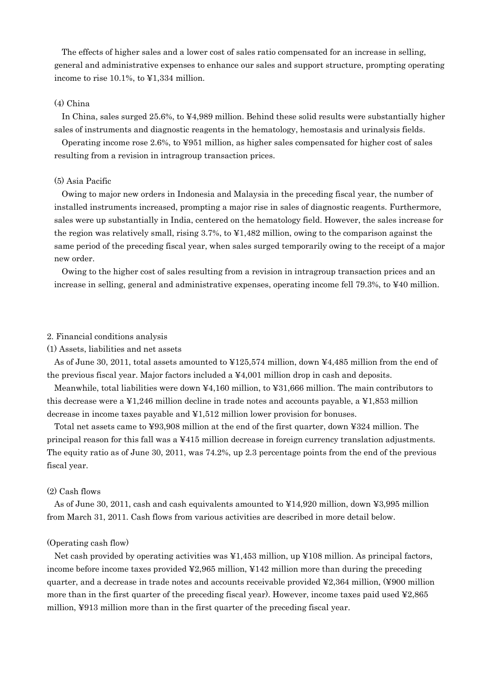The effects of higher sales and a lower cost of sales ratio compensated for an increase in selling, general and administrative expenses to enhance our sales and support structure, prompting operating income to rise 10.1%, to ¥1,334 million.

## (4) China

In China, sales surged 25.6%, to ¥4,989 million. Behind these solid results were substantially higher sales of instruments and diagnostic reagents in the hematology, hemostasis and urinalysis fields.

Operating income rose 2.6%, to ¥951 million, as higher sales compensated for higher cost of sales resulting from a revision in intragroup transaction prices.

#### (5) Asia Pacific

Owing to major new orders in Indonesia and Malaysia in the preceding fiscal year, the number of installed instruments increased, prompting a major rise in sales of diagnostic reagents. Furthermore, sales were up substantially in India, centered on the hematology field. However, the sales increase for the region was relatively small, rising 3.7%, to ¥1,482 million, owing to the comparison against the same period of the preceding fiscal year, when sales surged temporarily owing to the receipt of a major new order.

Owing to the higher cost of sales resulting from a revision in intragroup transaction prices and an increase in selling, general and administrative expenses, operating income fell 79.3%, to ¥40 million.

#### 2. Financial conditions analysis

(1) Assets, liabilities and net assets

As of June 30, 2011, total assets amounted to ¥125,574 million, down ¥4,485 million from the end of the previous fiscal year. Major factors included a ¥4,001 million drop in cash and deposits.

Meanwhile, total liabilities were down ¥4,160 million, to ¥31,666 million. The main contributors to this decrease were a ¥1,246 million decline in trade notes and accounts payable, a ¥1,853 million decrease in income taxes payable and ¥1,512 million lower provision for bonuses.

Total net assets came to ¥93,908 million at the end of the first quarter, down ¥324 million. The principal reason for this fall was a ¥415 million decrease in foreign currency translation adjustments. The equity ratio as of June 30, 2011, was 74.2%, up 2.3 percentage points from the end of the previous fiscal year.

#### (2) Cash flows

As of June 30, 2011, cash and cash equivalents amounted to ¥14,920 million, down ¥3,995 million from March 31, 2011. Cash flows from various activities are described in more detail below.

#### (Operating cash flow)

Net cash provided by operating activities was ¥1,453 million, up ¥108 million. As principal factors, income before income taxes provided ¥2,965 million, ¥142 million more than during the preceding quarter, and a decrease in trade notes and accounts receivable provided  $\textless 2,364$  million, (¥900 million more than in the first quarter of the preceding fiscal year). However, income taxes paid used ¥2,865 million, ¥913 million more than in the first quarter of the preceding fiscal year.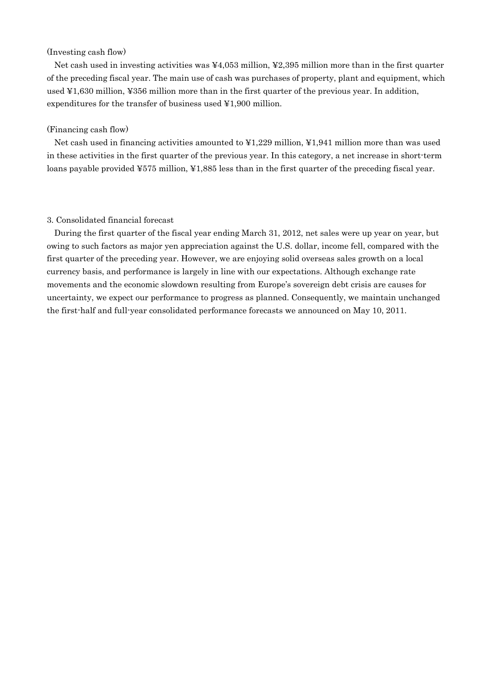## (Investing cash flow)

Net cash used in investing activities was ¥4,053 million, ¥2,395 million more than in the first quarter of the preceding fiscal year. The main use of cash was purchases of property, plant and equipment, which used ¥1,630 million, ¥356 million more than in the first quarter of the previous year. In addition, expenditures for the transfer of business used ¥1,900 million.

#### (Financing cash flow)

Net cash used in financing activities amounted to ¥1,229 million, ¥1,941 million more than was used in these activities in the first quarter of the previous year. In this category, a net increase in short-term loans payable provided ¥575 million, ¥1,885 less than in the first quarter of the preceding fiscal year.

#### 3. Consolidated financial forecast

During the first quarter of the fiscal year ending March 31, 2012, net sales were up year on year, but owing to such factors as major yen appreciation against the U.S. dollar, income fell, compared with the first quarter of the preceding year. However, we are enjoying solid overseas sales growth on a local currency basis, and performance is largely in line with our expectations. Although exchange rate movements and the economic slowdown resulting from Europe's sovereign debt crisis are causes for uncertainty, we expect our performance to progress as planned. Consequently, we maintain unchanged the first-half and full-year consolidated performance forecasts we announced on May 10, 2011.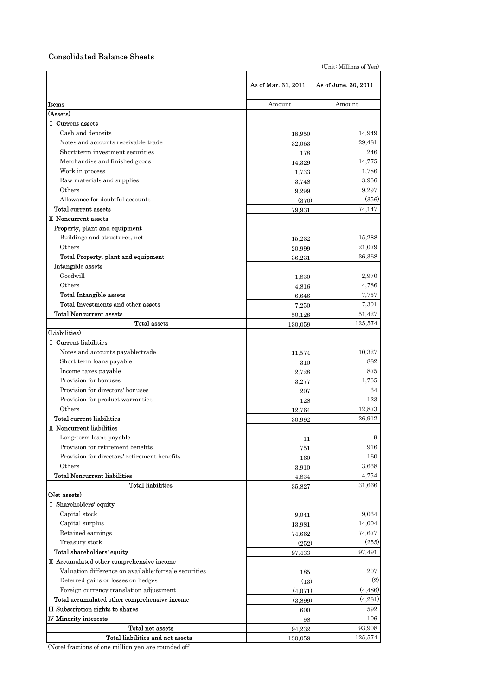## Consolidated Balance Sheets

(Unit: Millions of Yen)

|                                                                      | As of Mar. 31, 2011 | As of June. 30, 2011 |
|----------------------------------------------------------------------|---------------------|----------------------|
| Items                                                                | Amount              | Amount               |
| (Assets)                                                             |                     |                      |
| I Current assets                                                     |                     |                      |
| Cash and deposits                                                    | 18,950              | 14,949               |
| Notes and accounts receivable-trade                                  | 32,063              | 29,481               |
| Short-term investment securities                                     | 178                 | 246                  |
| Merchandise and finished goods                                       | 14,329              | 14,775               |
| Work in process                                                      | 1,733               | 1,786                |
| Raw materials and supplies                                           | 3,748               | 3,966                |
| Others                                                               | 9,299               | 9,297                |
| Allowance for doubtful accounts                                      | (370)               | (356)                |
| Total current assets                                                 | 79,931              | 74,147               |
| II Noncurrent assets                                                 |                     |                      |
| Property, plant and equipment                                        |                     |                      |
| Buildings and structures, net                                        | 15,232              | 15,288               |
| Others                                                               | 20,999              | 21,079               |
| Total Property, plant and equipment                                  |                     | 36,368               |
| Intangible assets                                                    | 36,231              |                      |
| Goodwill                                                             |                     | 2.970                |
| Others                                                               | 1,830               |                      |
|                                                                      | 4,816               | 4,786                |
| <b>Total Intangible assets</b><br>Total Investments and other assets | 6,646               | 7,757                |
|                                                                      | 7,250               | 7,301                |
| <b>Total Noncurrent assets</b>                                       | 50,128              | 51,427               |
| Total assets<br>(Liabilities)                                        | 130,059             | 125,574              |
|                                                                      |                     |                      |
| I Current liabilities                                                |                     |                      |
| Notes and accounts payable-trade                                     | 11,574              | 10,327               |
| Short-term loans payable                                             | 310                 | 882                  |
| Income taxes payable                                                 | 2,728               | 875                  |
| Provision for bonuses                                                | 3,277               | 1,765                |
| Provision for directors' bonuses                                     | 207                 | 64                   |
| Provision for product warranties                                     | 128                 | 123                  |
| Others                                                               | 12,764              | 12,873               |
| Total current liabilities                                            | 30,992              | 26,912               |
| II Noncurrent liabilities                                            |                     |                      |
| Long-term loans payable                                              | 11                  | 9                    |
| Provision for retirement benefits                                    | 751                 | 916                  |
| Provision for directors' retirement benefits                         | 160                 | 160                  |
| Others                                                               | 3,910               | 3,668                |
| <b>Total Noncurrent liabilities</b>                                  | 4,834               | 4,754                |
| <b>Total liabilities</b>                                             | 35,827              | 31,666               |
| (Net assets)                                                         |                     |                      |
| I Shareholders' equity                                               |                     |                      |
| Capital stock                                                        | 9,041               | 9,064                |
| Capital surplus                                                      | 13,981              | 14,004               |
| Retained earnings                                                    | 74,662              | 74,677               |
| Treasury stock                                                       | (252)               | (255)                |
| Total shareholders' equity                                           | 97,433              | 97,491               |
| II Accumulated other comprehensive income                            |                     |                      |
| Valuation difference on available for sale securities                | 185                 | 207                  |
| Deferred gains or losses on hedges                                   | (13)                | (2)                  |
| Foreign currency translation adjustment                              | (4,071)             | (4, 486)             |
| Total accumulated other comprehensive income                         | (3,899)             | (4,281)              |
| III Subscription rights to shares                                    | 600                 | 592                  |
| <b>IV Minority interests</b>                                         | 98                  | 106                  |
| Total net assets                                                     | 94,232              | 93,908               |
| Total liabilities and net assets                                     | 130,059             | 125,574              |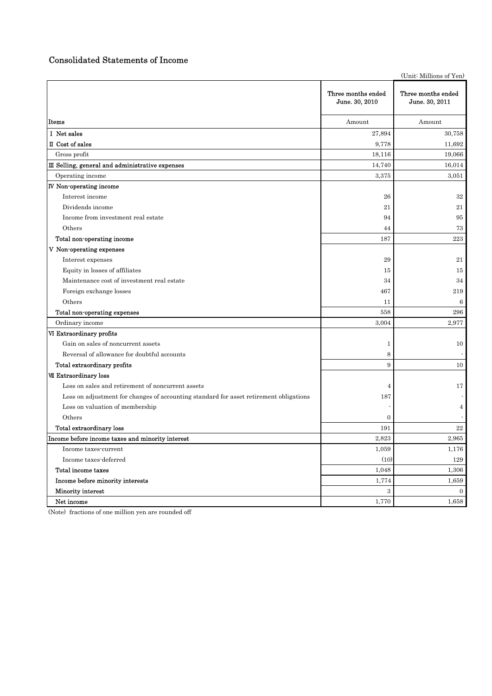# Consolidated Statements of Income

|                                                                                        |                                      | (Unit: Millions of Yen)              |
|----------------------------------------------------------------------------------------|--------------------------------------|--------------------------------------|
|                                                                                        | Three months ended<br>June. 30, 2010 | Three months ended<br>June. 30, 2011 |
| Items                                                                                  | Amount                               | Amount                               |
| I Net sales                                                                            | 27,894                               | 30,758                               |
| II Cost of sales                                                                       | 9,778                                | 11,692                               |
| Gross profit                                                                           | 18,116                               | 19,066                               |
| III Selling, general and administrative expenses                                       | 14,740                               | 16,014                               |
| Operating income                                                                       | 3,375                                | 3,051                                |
| <b>IV</b> Non-operating income                                                         |                                      |                                      |
| Interest income                                                                        | 26                                   | 32                                   |
| Dividends income                                                                       | 21                                   | 21                                   |
| Income from investment real estate                                                     | 94                                   | 95                                   |
| Others                                                                                 | 44                                   | 73                                   |
| Total non-operating income                                                             | 187                                  | 223                                  |
| V Non-operating expenses                                                               |                                      |                                      |
| Interest expenses                                                                      | 29                                   | 21                                   |
| Equity in losses of affiliates                                                         | 15                                   | 15                                   |
| Maintenance cost of investment real estate                                             | 34                                   | 34                                   |
| Foreign exchange losses                                                                | 467                                  | 219                                  |
| Others                                                                                 | 11                                   | $6\phantom{1}6$                      |
| Total non-operating expenses                                                           | 558                                  | 296                                  |
| Ordinary income                                                                        | 3,004                                | 2,977                                |
| VI Extraordinary profits                                                               |                                      |                                      |
| Gain on sales of noncurrent assets                                                     | 1                                    | 10                                   |
| Reversal of allowance for doubtful accounts                                            | 8                                    |                                      |
| Total extraordinary profits                                                            | 9                                    | 10                                   |
| <b>VII Extraordinary loss</b>                                                          |                                      |                                      |
| Loss on sales and retirement of noncurrent assets                                      | $\overline{4}$                       | 17                                   |
| Loss on adjustment for changes of accounting standard for asset retirement obligations | 187                                  |                                      |
| Loss on valuation of membership                                                        |                                      | $\overline{4}$                       |
| Others                                                                                 | 0                                    |                                      |
| Total extraordinary loss                                                               | 191                                  | $^{22}$                              |
| Income before income taxes and minority interest                                       | 2,823                                | 2,965                                |
| Income taxes-current                                                                   | 1,059                                | 1,176                                |
| Income taxes-deferred                                                                  | (10)                                 | 129                                  |
| Total income taxes                                                                     | 1,048                                | 1,306                                |
| Income before minority interests                                                       | 1,774                                | 1,659                                |
| Minority interest                                                                      | $\sqrt{3}$                           | $\overline{0}$                       |
| Net income                                                                             | 1,770                                | 1,658                                |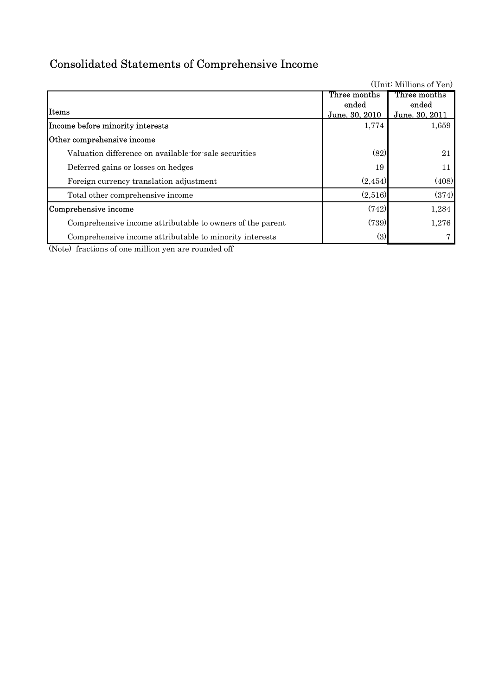# Consolidated Statements of Comprehensive Income

| (Unit: Millions of Yen)                                   |                |                |  |  |  |  |
|-----------------------------------------------------------|----------------|----------------|--|--|--|--|
|                                                           | Three months   | Three months   |  |  |  |  |
|                                                           | ended          | ended          |  |  |  |  |
| <b>Items</b>                                              | June. 30, 2010 | June. 30, 2011 |  |  |  |  |
| Income before minority interests                          | 1,774          | 1,659          |  |  |  |  |
| Other comprehensive income                                |                |                |  |  |  |  |
| Valuation difference on available for sale securities     | (82)           | 21             |  |  |  |  |
| Deferred gains or losses on hedges                        | 19             | 11             |  |  |  |  |
| Foreign currency translation adjustment                   | (2, 454)       | (408)          |  |  |  |  |
| Total other comprehensive income                          | (2,516)        | (374)          |  |  |  |  |
| Comprehensive income                                      | (742)          | 1,284          |  |  |  |  |
| Comprehensive income attributable to owners of the parent | (739)          | 1,276          |  |  |  |  |
| Comprehensive income attributable to minority interests   | (3)            |                |  |  |  |  |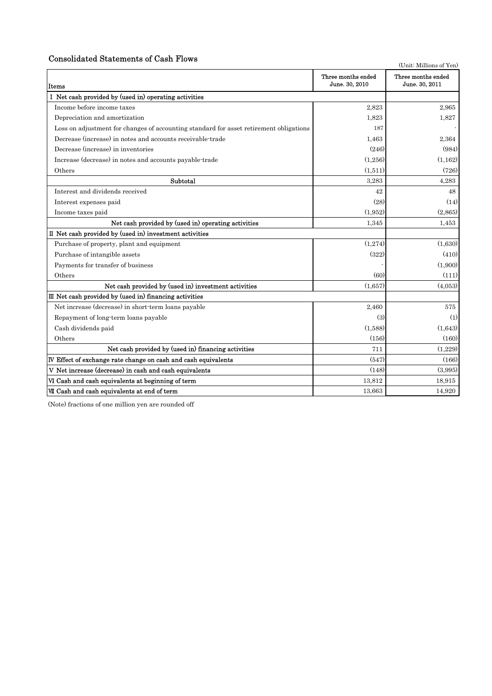## Consolidated Statements of Cash Flows

|                                                                                        |                                      | (Unit: Millions of Yen)              |
|----------------------------------------------------------------------------------------|--------------------------------------|--------------------------------------|
| Items                                                                                  | Three months ended<br>June. 30, 2010 | Three months ended<br>June. 30, 2011 |
| I Net cash provided by (used in) operating activities                                  |                                      |                                      |
| Income before income taxes                                                             | 2,823                                | 2,965                                |
| Depreciation and amortization                                                          | 1,823                                | 1,827                                |
| Loss on adjustment for changes of accounting standard for asset retirement obligations | 187                                  |                                      |
| Decrease (increase) in notes and accounts receivable trade                             | 1,463                                | 2,364                                |
| Decrease (increase) in inventories                                                     | (246)                                | (984)                                |
| Increase (decrease) in notes and accounts payable-trade                                | (1,256)                              | (1, 162)                             |
| Others                                                                                 | (1,511)                              | (726)                                |
| Subtotal                                                                               | 3,283                                | 4,283                                |
| Interest and dividends received                                                        | 42                                   | 48                                   |
| Interest expenses paid                                                                 | (28)                                 | (14)                                 |
| Income taxes paid                                                                      | (1, 952)                             | (2,865)                              |
| Net cash provided by (used in) operating activities                                    | 1,345                                | 1,453                                |
| II Net cash provided by (used in) investment activities                                |                                      |                                      |
| Purchase of property, plant and equipment                                              | (1,274)                              | (1,630)                              |
| Purchase of intangible assets                                                          | (322)                                | (410)                                |
| Payments for transfer of business                                                      |                                      | (1,900)                              |
| Others                                                                                 | (60)                                 | (111)                                |
| Net cash provided by (used in) investment activities                                   | (1,657)                              | (4,053)                              |
| III Net cash provided by (used in) financing activities                                |                                      |                                      |
| Net increase (decrease) in short-term loans payable                                    | 2,460                                | 575                                  |
| Repayment of long-term loans payable                                                   | (3)                                  | (1)                                  |
| Cash dividends paid                                                                    | (1,588)                              | (1,643)                              |
| Others                                                                                 | (156)                                | (160)                                |
| Net cash provided by (used in) financing activities                                    | 711                                  | (1.229)                              |
| IV Effect of exchange rate change on cash and cash equivalents                         | (547)                                | (166)                                |
| V Net increase (decrease) in cash and cash equivalents                                 | (148)                                | (3,995)                              |
| VI Cash and cash equivalents at beginning of term                                      | 13,812                               | 18,915                               |
| VII Cash and cash equivalents at end of term                                           | 13,663                               | 14,920                               |